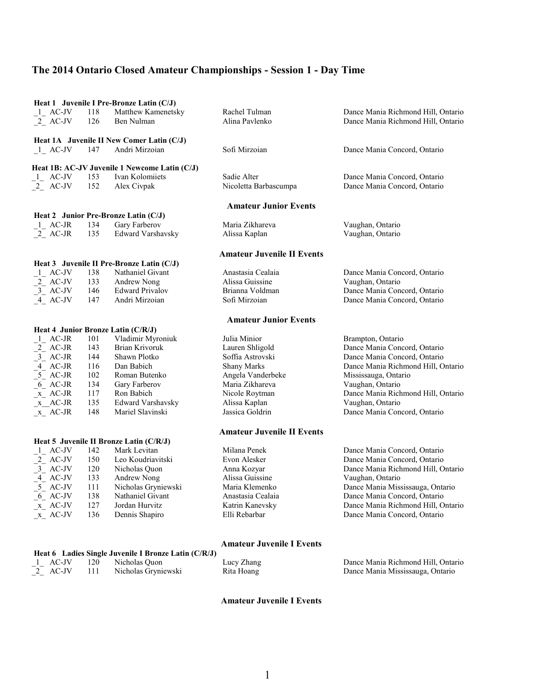|                                            |            | Heat 1 Juvenile I Pre-Bronze Latin (C/J)             |                                   |                                                        |
|--------------------------------------------|------------|------------------------------------------------------|-----------------------------------|--------------------------------------------------------|
| $\frac{1}{2}$ AC-JV<br>$\frac{1}{2}$ AC-JV | 118        | Matthew Kamenetsky                                   | Rachel Tulman                     | Dance Mania Richmond Hill, Ontario                     |
|                                            | 126        | Ben Nulman                                           | Alina Pavlenko                    | Dance Mania Richmond Hill, Ontario                     |
|                                            |            | Heat 1A Juvenile II New Comer Latin (C/J)            |                                   |                                                        |
| $1$ AC-JV                                  | 147        | Andri Mirzoian                                       | Sofi Mirzoian                     | Dance Mania Concord, Ontario                           |
|                                            |            |                                                      |                                   |                                                        |
|                                            |            | Heat 1B: AC-JV Juvenile 1 Newcome Latin (C/J)        |                                   |                                                        |
| $1$ AC-JV                                  | 153        | Ivan Kolomiiets                                      | Sadie Alter                       | Dance Mania Concord, Ontario                           |
| $2$ AC-JV                                  | 152        | Alex Civpak                                          | Nicoletta Barbascumpa             | Dance Mania Concord, Ontario                           |
|                                            |            |                                                      | <b>Amateur Junior Events</b>      |                                                        |
|                                            |            | Heat 2 Junior Pre-Bronze Latin (C/J)                 |                                   |                                                        |
| $1$ <sub>-</sub> AC-JR                     | 134        | Gary Farberov                                        | Maria Zikhareva                   | Vaughan, Ontario                                       |
| 2 AC-JR                                    | 135        | Edward Varshavsky                                    | Alissa Kaplan                     | Vaughan, Ontario                                       |
|                                            |            |                                                      | <b>Amateur Juvenile II Events</b> |                                                        |
|                                            |            | Heat 3 Juvenile II Pre-Bronze Latin (C/J)            |                                   |                                                        |
| $1$ <sub>-</sub> AC-JV                     | 138        | Nathaniel Givant                                     | Anastasia Cealaia                 | Dance Mania Concord, Ontario                           |
| $\frac{2}{3}$ AC-JV<br>$\frac{3}{2}$ AC-JV | 133        | Andrew Nong                                          | Alissa Guissine                   | Vaughan, Ontario                                       |
|                                            | 146        | <b>Edward Privalov</b>                               | Brianna Voldman                   | Dance Mania Concord, Ontario                           |
| $-4$ AC-JV                                 | 147        | Andri Mirzoian                                       | Sofi Mirzoian                     | Dance Mania Concord, Ontario                           |
|                                            |            |                                                      | <b>Amateur Junior Events</b>      |                                                        |
|                                            |            | Heat 4 Junior Bronze Latin (C/R/J)                   |                                   |                                                        |
| 1 AC-JR                                    | 101        | Vladimir Myroniuk                                    | Julia Minior                      | Brampton, Ontario                                      |
| $\begin{bmatrix} 2 \end{bmatrix}$ AC-JR    | 143        | Brian Krivoruk                                       | Lauren Shligold                   | Dance Mania Concord, Ontario                           |
| $3$ <sub><math>-</math></sub> AC-JR        | 144        | Shawn Plotko                                         | Soffia Astrovski                  | Dance Mania Concord, Ontario                           |
| $\overline{4}$ AC-JR                       | 116        | Dan Babich                                           | <b>Shany Marks</b>                | Dance Mania Richmond Hill, Ontario                     |
| $5$ AC-JR                                  | 102        | Roman Butenko                                        | Angela Vanderbeke                 | Mississauga, Ontario                                   |
| $-6$ AC-JR                                 | 134        | Gary Farberov<br>Ron Babich                          | Maria Zikhareva                   | Vaughan, Ontario                                       |
| $x$ AC-JR<br>$x$ <sup>AC-JR</sup>          | 117<br>135 | Edward Varshavsky                                    | Nicole Roytman<br>Alissa Kaplan   | Dance Mania Richmond Hill, Ontario<br>Vaughan, Ontario |
| $x$ AC-JR                                  | 148        | Mariel Slavinski                                     | Jassica Goldrin                   | Dance Mania Concord, Ontario                           |
|                                            |            |                                                      |                                   |                                                        |
|                                            |            |                                                      | <b>Amateur Juvenile II Events</b> |                                                        |
|                                            |            | Heat 5 Juvenile II Bronze Latin (C/R/J)              |                                   |                                                        |
| $1$ AC-JV                                  | 142        | Mark Levitan                                         | Milana Penek                      | Dance Mania Concord, Ontario                           |
| $\begin{bmatrix} 2 \end{bmatrix}$ AC-JV    | 150        | Leo Koudriavitski                                    | Evon Alesker                      | Dance Mania Concord, Ontario                           |
| $\frac{1}{2}$ AC-JV                        | 120        | Nicholas Quon                                        | Anna Kozyar                       | Dance Mania Richmond Hill, Ontario                     |
| $-4$ AC-JV                                 | 133        | Andrew Nong                                          | Alissa Guissine                   | Vaughan, Ontario                                       |
| $5$ <sub><math>-</math></sub> AC-JV        | 111        | Nicholas Gryniewski                                  | Maria Klemenko                    | Dance Mania Mississauga, Ontario                       |
| $-6$ AC-JV                                 | 138        | Nathaniel Givant                                     | Anastasia Cealaia                 | Dance Mania Concord, Ontario                           |
| $x$ AC-JV                                  | 127        | Jordan Hurvitz                                       | Katrin Kanevsky                   | Dance Mania Richmond Hill, Ontario                     |
| $x$ AC-JV                                  | 136        | Dennis Shapiro                                       | Elli Rebarbar                     | Dance Mania Concord, Ontario                           |
|                                            |            |                                                      |                                   |                                                        |
|                                            |            | Heat 6 Ladies Single Juvenile I Bronze Latin (C/R/J) | <b>Amateur Juvenile I Events</b>  |                                                        |
|                                            |            |                                                      |                                   |                                                        |

# <sup>1</sup> AC-JV 120 Nicholas Quon Lucy Zhang Dance Mania Richmond Hill, Ontario <sup>2</sup> AC-JV 111 Nicholas Gryniewski Rita Hoang Dance Mania Mississauga, Ontario Rita Hoang Dance Mania Mississauga, Ontario

**Amateur Juvenile I Events**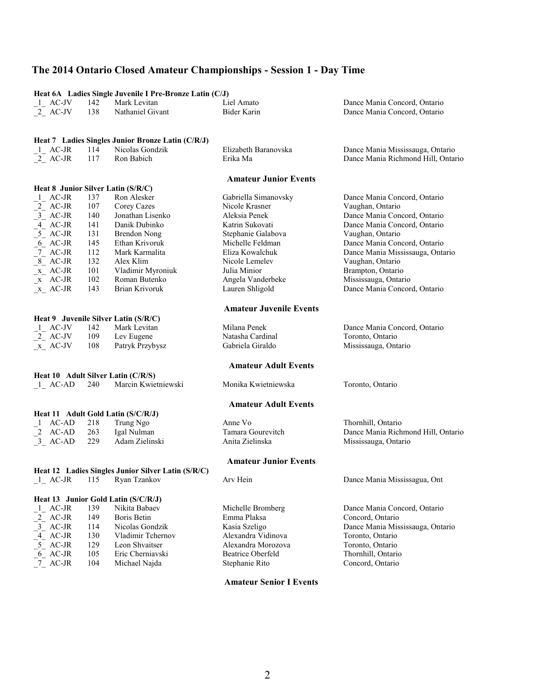|                                                                                              |     | Heat 6A Ladies Single Juvenile I Pre-Bronze Latin (C/J) |                                |                                    |
|----------------------------------------------------------------------------------------------|-----|---------------------------------------------------------|--------------------------------|------------------------------------|
| 1 AC-JV                                                                                      | 142 | Mark Levitan                                            | Liel Amato                     | Dance Mania Concord, Ontario       |
| 2 AC-JV                                                                                      | 138 | Nathaniel Givant                                        | Bider Karin                    | Dance Mania Concord, Ontario       |
|                                                                                              |     |                                                         |                                |                                    |
|                                                                                              |     |                                                         |                                |                                    |
|                                                                                              |     | Heat 7 Ladies Singles Junior Bronze Latin (C/R/J)       |                                |                                    |
| $1$ AC-JR                                                                                    | 114 | Nicolas Gondzik                                         | Elizabeth Baranovska           | Dance Mania Mississauga, Ontario   |
| $2$ AC-JR                                                                                    | 117 | Ron Babich                                              | Erika Ma                       | Dance Mania Richmond Hill, Ontario |
|                                                                                              |     |                                                         |                                |                                    |
|                                                                                              |     |                                                         | <b>Amateur Junior Events</b>   |                                    |
| Heat 8 Junior Silver Latin (S/R/C)<br>$1$ <sub>-</sub> AC-JR                                 | 137 | Ron Alesker                                             | Gabriella Simanovsky           |                                    |
|                                                                                              | 107 |                                                         | Nicole Krasner                 | Dance Mania Concord, Ontario       |
| $\frac{2}{3}$ AC-JR<br>$\frac{3}{2}$ AC-JR                                                   |     | Corey Cazes<br>Jonathan Lisenko                         | Aleksia Penek                  | Vaughan, Ontario                   |
| $4$ <sup>-</sup> AC-JR                                                                       | 140 |                                                         |                                | Dance Mania Concord, Ontario       |
|                                                                                              | 141 | Danik Dubinko                                           | Katrin Sukovati                | Dance Mania Concord, Ontario       |
| $5$ <sup><math>\sim</math></sup> AC-JR                                                       | 131 | Brendon Nong                                            | Stephanie Galabova             | Vaughan, Ontario                   |
| $6$ AC-JR                                                                                    | 145 | Ethan Krivoruk                                          | Michelle Feldman               | Dance Mania Concord, Ontario       |
| $7$ AC-JR                                                                                    | 112 | Mark Karmalita                                          | Eliza Kowalchuk                | Dance Mania Mississauga, Ontario   |
| $8$ AC-JR                                                                                    | 132 | Alex Klim                                               | Nicole Lemelev                 | Vaughan, Ontario                   |
| $x$ AC-JR                                                                                    | 101 | Vladimir Myroniuk                                       | Julia Minior                   | Brampton, Ontario                  |
| $\mathbb{R}$ AC-JR                                                                           | 102 | Roman Butenko                                           | Angela Vanderbeke              | Mississauga, Ontario               |
| $x$ AC-JR                                                                                    | 143 | Brian Krivoruk                                          | Lauren Shligold                | Dance Mania Concord, Ontario       |
|                                                                                              |     |                                                         |                                |                                    |
|                                                                                              |     |                                                         | <b>Amateur Juvenile Events</b> |                                    |
|                                                                                              |     | Heat 9 Juvenile Silver Latin (S/R/C)                    |                                |                                    |
| 1 AC-JV                                                                                      | 142 | Mark Levitan                                            | Milana Penek                   | Dance Mania Concord, Ontario       |
| $2$ AC-JV                                                                                    | 109 | Lev Eugene                                              | Natasha Cardinal               | Toronto, Ontario                   |
| $x$ AC-JV                                                                                    | 108 | Patryk Przybysz                                         | Gabriela Giraldo               | Mississauga, Ontario               |
|                                                                                              |     |                                                         | <b>Amateur Adult Events</b>    |                                    |
| Heat 10 Adult Silver Latin (C/R/S)                                                           |     |                                                         |                                |                                    |
| $1$ <sub><math>-</math></sub> AC-AD                                                          | 240 | Marcin Kwietniewski                                     | Monika Kwietniewska            | Toronto, Ontario                   |
|                                                                                              |     |                                                         |                                |                                    |
|                                                                                              |     |                                                         | <b>Amateur Adult Events</b>    |                                    |
|                                                                                              |     | Heat 11 Adult Gold Latin (S/C/R/J)                      |                                |                                    |
| 1 AC-AD                                                                                      | 218 | Trung Ngo                                               | Anne Vo                        | Thornhill, Ontario                 |
|                                                                                              | 263 | Igal Nulman                                             | Tamara Gourevitch              | Dance Mania Richmond Hill, Ontario |
| $\begin{bmatrix} 2 & AC-AD \\ 3 & AC-AD \end{bmatrix}$                                       | 229 | Adam Zielinski                                          | Anita Zielinska                | Mississauga, Ontario               |
|                                                                                              |     |                                                         |                                |                                    |
|                                                                                              |     |                                                         | <b>Amateur Junior Events</b>   |                                    |
|                                                                                              |     | Heat 12 Ladies Singles Junior Silver Latin (S/R/C)      |                                |                                    |
| 1 AC-JR                                                                                      | 115 | Ryan Tzankov                                            | Arv Hein                       | Dance Mania Mississagua, Ont       |
|                                                                                              |     |                                                         |                                |                                    |
|                                                                                              |     | Heat 13 Junior Gold Latin (S/C/R/J)                     |                                |                                    |
| 1 AC-JR                                                                                      | 139 | Nikita Babaev                                           | Michelle Bromberg              | Dance Mania Concord, Ontario       |
| $\begin{bmatrix} 2 \\ 3 \end{bmatrix}$ AC-JR<br>$\begin{bmatrix} 3 \\ 4 \end{bmatrix}$ AC-JR | 149 | <b>Boris Betin</b>                                      | Emma Plaksa                    | Concord, Ontario                   |
|                                                                                              | 114 | Nicolas Gondzik                                         | Kasia Szeligo                  | Dance Mania Mississauga, Ontario   |
| $-4$ AC-JR                                                                                   | 130 | Vladimir Tchernov                                       | Alexandra Vidinova             | Toronto, Ontario                   |
| $5$ AC-JR                                                                                    | 129 | Leon Shvaitser                                          | Alexandra Morozova             | Toronto, Ontario                   |
| 6 AC-JR                                                                                      | 105 | Eric Cherniavski                                        | <b>Beatrice Oberfeld</b>       | Thornhill, Ontario                 |
| $7$ AC-JR                                                                                    | 104 | Michael Najda                                           | Stephanie Rito                 | Concord, Ontario                   |
|                                                                                              |     |                                                         |                                |                                    |

2

**Amateur Senior I Events**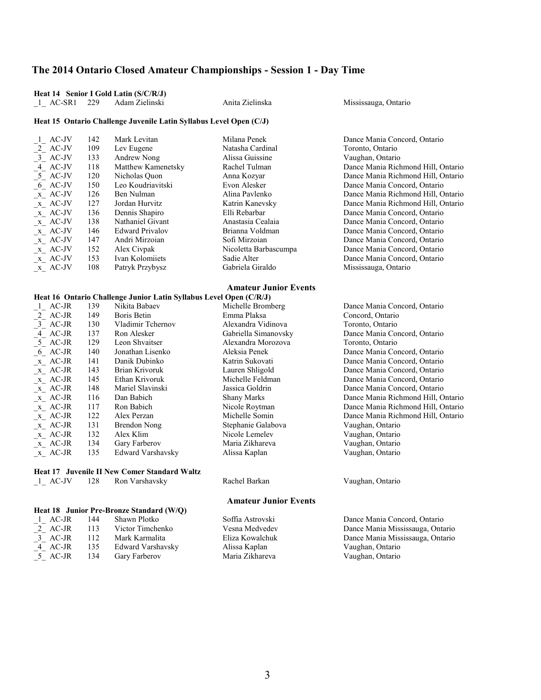### **Heat 14 Senior I Gold Latin (S/C/R/J)**

\_1\_ AC-SR1 229 Adam Zielinski Anita Zielinska Mississauga, Ontario

#### **Heat 15 Ontario Challenge Juvenile Latin Syllabus Level Open (C/J)**

| 1 AC-JV                             | 142 | Mark Levitan           | Milana Penek          | Dance Mania Concord, Ontario       |
|-------------------------------------|-----|------------------------|-----------------------|------------------------------------|
| 2 AC-JV                             | 109 | Lev Eugene             | Natasha Cardinal      | Toronto, Ontario                   |
| 3 AC-JV                             | 133 | Andrew Nong            | Alissa Guissine       | Vaughan, Ontario                   |
| 4 AC-JV                             | 118 | Matthew Kamenetsky     | Rachel Tulman         | Dance Mania Richmond Hill, Ontario |
| 5 AC-JV                             | 120 | Nicholas Ouon          | Anna Kozyar           | Dance Mania Richmond Hill, Ontario |
| 6 AC-JV                             | 150 | Leo Koudriavitski      | Evon Alesker          | Dance Mania Concord, Ontario       |
| x AC-JV                             | 126 | Ben Nulman             | Alina Pavlenko        | Dance Mania Richmond Hill, Ontario |
| $X$ AC-JV                           | 127 | Jordan Hurvitz         | Katrin Kanevsky       | Dance Mania Richmond Hill, Ontario |
| $X$ AC-JV                           | 136 | Dennis Shapiro         | Elli Rebarbar         | Dance Mania Concord, Ontario       |
| x AC-JV                             | 138 | Nathaniel Givant       | Anastasia Cealaia     | Dance Mania Concord, Ontario       |
| $X$ <sub><math>-</math></sub> AC-JV | 146 | <b>Edward Privalov</b> | Brianna Voldman       | Dance Mania Concord, Ontario       |
| $X$ AC-JV                           | 147 | Andri Mirzoian         | Sofi Mirzoian         | Dance Mania Concord, Ontario       |
| $X$ AC-JV                           | 152 | Alex Civpak            | Nicoletta Barbascumpa | Dance Mania Concord, Ontario       |
| x AC-JV                             | 153 | Ivan Kolomiiets        | Sadie Alter           | Dance Mania Concord, Ontario       |
| $X$ AC-JV                           | 108 | Patryk Przybysz        | Gabriela Giraldo      | Mississauga, Ontario               |

#### **Amateur Junior Events**

### **Heat 16 Ontario Challenge Junior Latin Syllabus Level Open (C/R/J)**<br>11 AC-JR 139 Nikita Babaev Michelle Brom 139 Nikita Babaev Michelle Bromberg Dance Mania Concord, Ontario<br>149 Daris Betin Emma Plaksa Concord, Ontario \_2\_ AC-JR 149 Boris Betin Emma Plaksa Concord, Ontario \_3\_ AC-JR 130 Vladimir Tchernov Alexandra Vidinova Toronto, Ontario \_4\_ AC-JR 137 Ron Alesker Gabriella Simanovsky Dance Mania Concord, Ontario \_5\_ AC-JR 129 Leon Shvaitser Alexandra Morozova Toronto, Ontario \_6\_ AC-JR 140 Jonathan Lisenko Aleksia Penek Dance Mania Concord, Ontario \_x\_ AC-JR 141 Danik Dubinko Katrin Sukovati Dance Mania Concord, Ontario \_x\_ AC-JR 143 Brian Krivoruk Lauren Shligold Dance Mania Concord, Ontario \_x\_ AC-JR 145 Ethan Krivoruk Michelle Feldman Dance Mania Concord, Ontario \_x\_ AC-JR 148 Mariel Slavinski Jassica Goldrin Dance Mania Concord, Ontario \_x\_ AC-JR 116 Dan Babich Shany Marks Dance Mania Richmond Hill, Ontario \_x\_ AC-JR 117 Ron Babich Nicole Roytman Dance Mania Richmond Hill, Ontario  $\begin{array}{ccc}\n x & AC\text{-}IR \\
 x & AC\text{-}IR \\
 122 & Alex Perzan\n\end{array}$  Nicole Roytman Dance Mania Richmond Hill, Ontario \_x\_ AC-JR 122 Alex Perzan Michelle Somin Dance Mania Richmond Hill, Ontario \_x\_ AC-JR 131 Brendon Nong Stephanie Galabova Vaughan, Ontario <br>
\_x\_ AC-JR 132 Alex Klim Nicole Lemelev Vaughan, Ontario \_x\_ AC-JR 132 Alex Klim Nicole Lemelev Vaughan, Ontario Vaughan, Ontario Vaughan, Ontario Vaughan, Ontario 134 Gary Farberov Maria Zikhareva Vaughan, Ontario \_x\_ AC-JR 135 Edward Varshavsky Alissa Kaplan Vaughan, Ontario

### **Heat 17 Juvenile II New Comer Standard Waltz**

\_1\_ AC-JV 128 Ron Varshavsky Rachel Barkan Vaughan, Ontario

#### **Amateur Junior Events**

|            |     | Heat 18 Junior Pre-Bronze Standard (W/O) |                  |                                  |
|------------|-----|------------------------------------------|------------------|----------------------------------|
| $-1$ AC-JR | 144 | Shawn Plotko                             | Soffia Astrovski | Dance Mania Concord, Ontario     |
| 2 AC-JR    | 113 | Victor Timchenko                         | Vesna Medvedev   | Dance Mania Mississauga, Ontario |
| 3 AC-JR    | 112 | Mark Karmalita                           | Eliza Kowalchuk  | Dance Mania Mississauga, Ontario |
| 4 AC-JR    | 135 | Edward Varshavsky                        | Alissa Kaplan    | Vaughan, Ontario                 |
| 5 AC-JR    | 134 | <b>Gary Farberov</b>                     | Maria Zikhareva  | Vaughan, Ontario                 |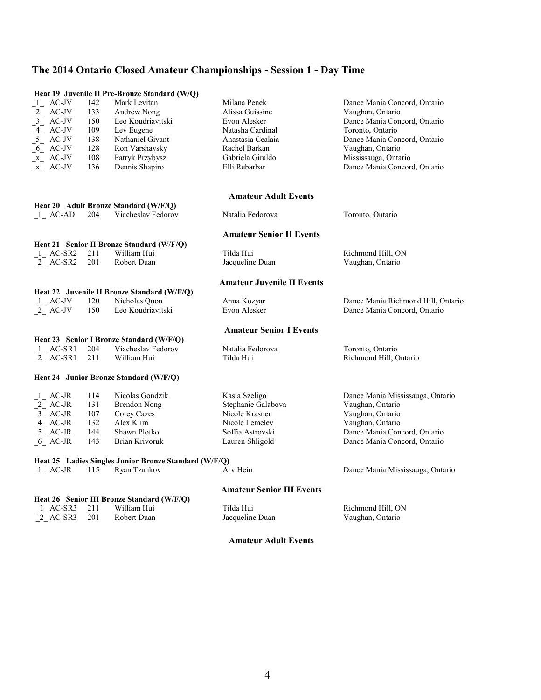|                                                                                                                                 |     | Heat 19 Juvenile II Pre-Bronze Standard (W/Q)         |                                   |                                    |
|---------------------------------------------------------------------------------------------------------------------------------|-----|-------------------------------------------------------|-----------------------------------|------------------------------------|
| $1$ AC-JV                                                                                                                       | 142 | Mark Levitan                                          | Milana Penek                      | Dance Mania Concord, Ontario       |
| $2$ AC-JV                                                                                                                       | 133 | Andrew Nong                                           | Alissa Guissine                   | Vaughan, Ontario                   |
| $\begin{array}{c}\n\overline{-3} & \text{AC-IV} \\ \overline{-4} & \text{AC-IV} \\ \overline{-5} & \text{AC-IV} \\ \end{array}$ | 150 | Leo Koudriavitski                                     | Evon Alesker                      | Dance Mania Concord, Ontario       |
|                                                                                                                                 | 109 | Lev Eugene                                            | Natasha Cardinal                  | Toronto, Ontario                   |
|                                                                                                                                 | 138 | Nathaniel Givant                                      | Anastasia Cealaia                 | Dance Mania Concord, Ontario       |
| $6$ AC-JV                                                                                                                       | 128 | Ron Varshavsky                                        | Rachel Barkan                     | Vaughan, Ontario                   |
| $x$ AC-JV                                                                                                                       | 108 | Patryk Przybysz                                       | Gabriela Giraldo                  | Mississauga, Ontario               |
| $X$ AC-JV                                                                                                                       | 136 | Dennis Shapiro                                        | Elli Rebarbar                     | Dance Mania Concord, Ontario       |
|                                                                                                                                 |     |                                                       |                                   |                                    |
|                                                                                                                                 |     |                                                       | <b>Amateur Adult Events</b>       |                                    |
|                                                                                                                                 |     | Heat 20 Adult Bronze Standard (W/F/Q)                 |                                   |                                    |
| 1 AC-AD                                                                                                                         | 204 | Viacheslav Fedorov                                    | Natalia Fedorova                  | Toronto, Ontario                   |
|                                                                                                                                 |     |                                                       | <b>Amateur Senior II Events</b>   |                                    |
|                                                                                                                                 |     | Heat 21 Senior II Bronze Standard (W/F/Q)             |                                   |                                    |
| 1 AC-SR2                                                                                                                        | 211 | William Hui                                           | Tilda Hui                         | Richmond Hill, ON                  |
| 2 AC-SR2                                                                                                                        | 201 | Robert Duan                                           | Jacqueline Duan                   | Vaughan, Ontario                   |
|                                                                                                                                 |     |                                                       | <b>Amateur Juvenile II Events</b> |                                    |
|                                                                                                                                 |     | Heat 22 Juvenile II Bronze Standard (W/F/Q)           |                                   |                                    |
| 1 AC-JV                                                                                                                         | 120 | Nicholas Quon                                         | Anna Kozyar                       | Dance Mania Richmond Hill, Ontario |
| $2$ AC-JV                                                                                                                       | 150 | Leo Koudriavitski                                     | Evon Alesker                      | Dance Mania Concord, Ontario       |
|                                                                                                                                 |     |                                                       | <b>Amateur Senior I Events</b>    |                                    |
|                                                                                                                                 |     | Heat 23 Senior I Bronze Standard (W/F/Q)              |                                   |                                    |
| 1 AC-SR1                                                                                                                        | 204 | Viacheslav Fedorov                                    | Natalia Fedorova                  | Toronto, Ontario                   |
| 2 AC-SR1                                                                                                                        | 211 | William Hui                                           | Tilda Hui                         | Richmond Hill, Ontario             |
|                                                                                                                                 |     | Heat 24 Junior Bronze Standard (W/F/Q)                |                                   |                                    |
| $1$ AC-JR                                                                                                                       | 114 | Nicolas Gondzik                                       | Kasia Szeligo                     | Dance Mania Mississauga, Ontario   |
| $2$ AC-JR                                                                                                                       | 131 | <b>Brendon Nong</b>                                   | Stephanie Galabova                | Vaughan, Ontario                   |
| $3$ AC-JR                                                                                                                       | 107 | Corey Cazes                                           | Nicole Krasner                    | Vaughan, Ontario                   |
| $-4$ AC-JR                                                                                                                      | 132 | Alex Klim                                             | Nicole Lemelev                    | Vaughan, Ontario                   |
| $5$ AC-JR                                                                                                                       | 144 | Shawn Plotko                                          | Soffia Astrovski                  | Dance Mania Concord, Ontario       |
| 6 AC-JR                                                                                                                         | 143 | Brian Krivoruk                                        | Lauren Shligold                   | Dance Mania Concord, Ontario       |
|                                                                                                                                 |     | Heat 25 Ladies Singles Junior Bronze Standard (W/F/Q) |                                   |                                    |
| 1 AC-JR                                                                                                                         | 115 | Ryan Tzankov                                          | Arv Hein                          | Dance Mania Mississauga, Ontario   |
|                                                                                                                                 |     |                                                       | <b>Amateur Senior III Events</b>  |                                    |
|                                                                                                                                 |     | Heat 26 Senior III Bronze Standard (W/F/Q)            |                                   |                                    |
| 1 AC-SR3                                                                                                                        | 211 | William Hui                                           | Tilda Hui                         | Richmond Hill, ON                  |
| 2 AC-SR3                                                                                                                        | 201 | Robert Duan                                           | Jacqueline Duan                   | Vaughan, Ontario                   |
|                                                                                                                                 |     |                                                       |                                   |                                    |

### **Amateur Adult Events**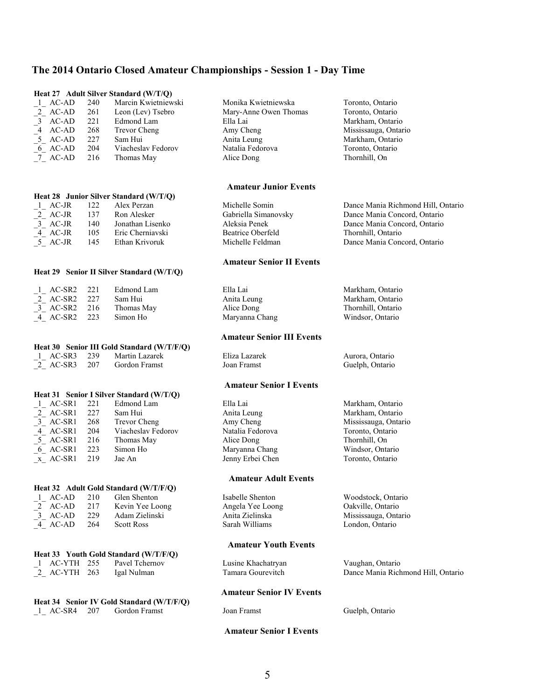|                                                                   |     | Heat 27 Adult Silver Standard (W/T/Q)                      |                                  |                                        |
|-------------------------------------------------------------------|-----|------------------------------------------------------------|----------------------------------|----------------------------------------|
| $\frac{1}{2}$ AC-AD<br>$\frac{2}{3}$ AC-AD<br>$\frac{4}{5}$ AC-AD | 240 | Marcin Kwietniewski                                        | Monika Kwietniewska              | Toronto, Ontario                       |
|                                                                   | 261 | Leon (Lev) Tsebro                                          | Mary-Anne Owen Thomas            | Toronto, Ontario                       |
|                                                                   | 221 | Edmond Lam                                                 | Ella Lai                         | Markham, Ontario                       |
|                                                                   | 268 | Trevor Cheng                                               | Amy Cheng                        | Mississauga, Ontario                   |
| $5$ AC-AD                                                         | 227 | Sam Hui                                                    | Anita Leung                      | Markham, Ontario                       |
| $6$ AC-AD                                                         | 204 | Viacheslav Fedorov                                         | Natalia Fedorova                 | Toronto, Ontario                       |
| 7 AC-AD                                                           | 216 | Thomas May                                                 | Alice Dong                       | Thornhill, On                          |
|                                                                   |     |                                                            |                                  |                                        |
|                                                                   |     |                                                            | <b>Amateur Junior Events</b>     |                                        |
|                                                                   |     | Heat 28 Junior Silver Standard (W/T/Q)                     |                                  |                                        |
| 1 AC-JR                                                           | 122 | Alex Perzan                                                | Michelle Somin                   | Dance Mania Richmond Hill, Ontario     |
| $2$ AC-JR                                                         | 137 | Ron Alesker                                                | Gabriella Simanovsky             | Dance Mania Concord, Ontario           |
| $-3$ AC-JR                                                        | 140 | Jonathan Lisenko                                           | Aleksia Penek                    | Dance Mania Concord, Ontario           |
| 4 AC-JR                                                           | 105 | Eric Cherniavski                                           | <b>Beatrice Oberfeld</b>         | Thornhill, Ontario                     |
| $\overline{5}$ AC-JR                                              | 145 | Ethan Krivoruk                                             | Michelle Feldman                 | Dance Mania Concord, Ontario           |
|                                                                   |     |                                                            | <b>Amateur Senior II Events</b>  |                                        |
|                                                                   |     | Heat 29 Senior II Silver Standard (W/T/Q)                  |                                  |                                        |
| 1 AC-SR2                                                          | 221 | Edmond Lam                                                 | Ella Lai                         | Markham, Ontario                       |
|                                                                   | 227 | Sam Hui                                                    | Anita Leung                      |                                        |
| $2$ AC-SR2                                                        | 216 |                                                            |                                  | Markham, Ontario<br>Thornhill, Ontario |
| $-3$ AC-SR2                                                       |     | Thomas May                                                 | Alice Dong                       |                                        |
| 4 AC-SR2                                                          | 223 | Simon Ho                                                   | Maryanna Chang                   | Windsor, Ontario                       |
|                                                                   |     |                                                            | <b>Amateur Senior III Events</b> |                                        |
|                                                                   |     | Heat 30 Senior III Gold Standard (W/T/F/Q)                 |                                  |                                        |
| $1$ AC-SR3                                                        | 239 | Martin Lazarek                                             | Eliza Lazarek                    | Aurora, Ontario                        |
| $\sqrt{2}$ AC-SR3                                                 | 207 | Gordon Framst                                              | Joan Framst                      | Guelph, Ontario                        |
|                                                                   |     |                                                            | <b>Amateur Senior I Events</b>   |                                        |
|                                                                   |     | Heat 31 Senior I Silver Standard (W/T/Q)                   |                                  |                                        |
| $1$ <sub>-1</sub> AC-SR1                                          | 221 | Edmond Lam                                                 | Ella Lai                         | Markham, Ontario                       |
| $\frac{2}{3}$ AC-SR1<br>$\frac{3}{2}$ AC-SR1                      | 227 | Sam Hui                                                    | Anita Leung                      | Markham, Ontario                       |
|                                                                   | 268 | <b>Trevor Cheng</b>                                        | Amy Cheng                        | Mississauga, Ontario                   |
| $4$ AC-SR1                                                        | 204 | Viacheslav Fedorov                                         | Natalia Fedorova                 | Toronto, Ontario                       |
| $5$ AC-SR1                                                        | 216 | Thomas May                                                 | Alice Dong                       | Thornhill, On                          |
| $6$ AC-SR1                                                        | 223 | Simon Ho                                                   | Maryanna Chang                   | Windsor, Ontario                       |
| x AC-SR1                                                          | 219 | Jae An                                                     | Jenny Erbei Chen                 | Toronto, Ontario                       |
|                                                                   |     |                                                            | <b>Amateur Adult Events</b>      |                                        |
|                                                                   |     | Heat 32 Adult Gold Standard (W/T/F/Q)                      |                                  |                                        |
| 1 AC-AD                                                           | 210 | Glen Shenton                                               | Isabelle Shenton                 | Woodstock, Ontario                     |
| $\begin{bmatrix} 2 \end{bmatrix}$ AC-AD                           | 217 | Kevin Yee Loong                                            | Angela Yee Loong                 | Oakville, Ontario                      |
| $-3$ <sub>-</sub> AC-AD                                           | 229 | Adam Zielinski                                             | Anita Zielinska                  | Mississauga, Ontario                   |
| 4 AC-AD                                                           | 264 | <b>Scott Ross</b>                                          | Sarah Williams                   | London, Ontario                        |
|                                                                   |     |                                                            | <b>Amateur Youth Events</b>      |                                        |
|                                                                   |     | Heat 33 Youth Gold Standard (W/T/F/Q)                      |                                  |                                        |
| $1$ AC-YTH 255                                                    |     | Pavel Tchernov                                             | Lusine Khachatryan               | Vaughan, Ontario                       |
| 2 AC-YTH 263                                                      |     | Igal Nulman                                                | Tamara Gourevitch                | Dance Mania Richmond Hill, Ontario     |
|                                                                   |     |                                                            | <b>Amateur Senior IV Events</b>  |                                        |
| 1 AC-SR4                                                          | 207 | Heat 34 Senior IV Gold Standard (W/T/F/Q)<br>Gordon Framst | Joan Framst                      | Guelph, Ontario                        |
|                                                                   |     |                                                            |                                  |                                        |
|                                                                   |     |                                                            | <b>Amateur Senior I Events</b>   |                                        |
|                                                                   |     |                                                            |                                  |                                        |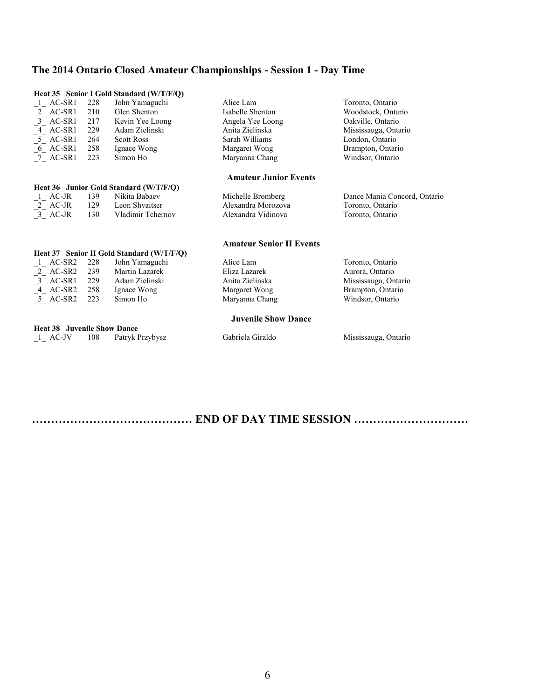|                                                                               |     | Heat 35 Senior I Gold Standard (W/T/F/Q)  |                                 |                              |
|-------------------------------------------------------------------------------|-----|-------------------------------------------|---------------------------------|------------------------------|
| $1$ AC-SR1                                                                    | 228 | John Yamaguchi                            | Alice Lam                       | Toronto, Ontario             |
|                                                                               | 210 | Glen Shenton                              | Isabelle Shenton                | Woodstock, Ontario           |
|                                                                               | 217 | Kevin Yee Loong                           | Angela Yee Loong                | Oakville, Ontario            |
| $\begin{bmatrix} 2 \\ 3 \\ -4 \\ -4 \end{bmatrix}$ AC-SR1<br>AC-SR1<br>AC-SR1 | 229 | Adam Zielinski                            | Anita Zielinska                 | Mississauga, Ontario         |
| $5$ AC-SR1                                                                    | 264 | <b>Scott Ross</b>                         | Sarah Williams                  | London, Ontario              |
| 6 AC-SR1                                                                      | 258 | Ignace Wong                               | Margaret Wong                   | Brampton, Ontario            |
| 7 AC-SR1                                                                      | 223 | Simon Ho                                  | Maryanna Chang                  | Windsor, Ontario             |
|                                                                               |     |                                           | <b>Amateur Junior Events</b>    |                              |
|                                                                               |     | Heat 36 Junior Gold Standard (W/T/F/Q)    |                                 |                              |
| 1 AC-JR                                                                       | 139 | Nikita Babaev                             | Michelle Bromberg               | Dance Mania Concord, Ontario |
| $\left[2\right]$ AC-JR                                                        |     | 129 Leon Shvaitser                        | Alexandra Morozova              | Toronto, Ontario             |
| $3$ AC-JR                                                                     | 130 | Vladimir Tchernov                         | Alexandra Vidinova              | Toronto, Ontario             |
|                                                                               |     |                                           | <b>Amateur Senior II Events</b> |                              |
|                                                                               |     | Heat 37 Senior II Gold Standard (W/T/F/Q) |                                 |                              |
| $1$ AC-SR2                                                                    | 228 | John Yamaguchi                            | Alice Lam                       | Toronto, Ontario             |
| $\frac{2}{3}$ AC-SR2<br>$\frac{3}{4}$ AC-SR1<br>$\frac{4}{3}$ AC-SR2          | 239 | Martin Lazarek                            | Eliza Lazarek                   | Aurora, Ontario              |
|                                                                               | 229 | Adam Zielinski                            | Anita Zielinska                 | Mississauga, Ontario         |
|                                                                               | 258 | Ignace Wong                               | Margaret Wong                   | Brampton, Ontario            |
| 5 AC-SR2                                                                      | 223 | Simon Ho                                  | Maryanna Chang                  | Windsor, Ontario             |
|                                                                               |     |                                           | <b>Juvenile Show Dance</b>      |                              |
| <b>Heat 38 Juvenile Show Dance</b>                                            |     |                                           |                                 |                              |
| 1 AC-JV                                                                       | 108 | Patryk Przybysz                           | Gabriela Giraldo                | Mississauga, Ontario         |

**…………………………………… END OF DAY TIME SESSION …………………………**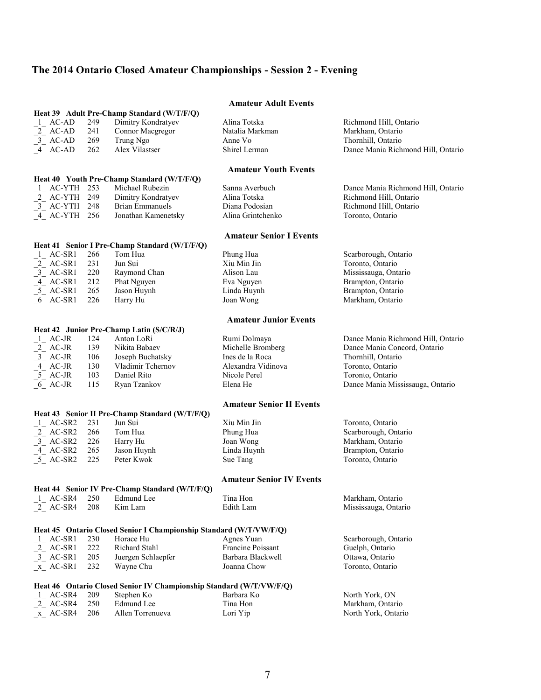# **The 2014 Ontario Closed Amateur Championships - Session 2 - Evening**

|                                                                   |     |                                                                     | <b>Amateur Adult Events</b>     |                                    |
|-------------------------------------------------------------------|-----|---------------------------------------------------------------------|---------------------------------|------------------------------------|
|                                                                   |     | Heat 39 Adult Pre-Champ Standard (W/T/F/Q)                          |                                 |                                    |
| $-1$ AC-AD<br>$-2$ AC-AD<br>$-3$ AC-AD                            | 249 | Dimitry Kondratyev                                                  | Alina Totska                    | Richmond Hill, Ontario             |
|                                                                   | 241 | Connor Macgregor                                                    | Natalia Markman                 | Markham, Ontario                   |
|                                                                   | 269 | Trung Ngo                                                           | Anne Vo                         | Thornhill, Ontario                 |
| $-4$ AC-AD                                                        | 262 | Alex Vilastser                                                      | Shirel Lerman                   | Dance Mania Richmond Hill, Ontario |
|                                                                   |     |                                                                     |                                 |                                    |
|                                                                   |     |                                                                     | <b>Amateur Youth Events</b>     |                                    |
|                                                                   |     | Heat 40 Youth Pre-Champ Standard (W/T/F/Q)                          |                                 |                                    |
| 1 AC-YTH 253                                                      |     | Michael Rubezin                                                     | Sanna Averbuch                  | Dance Mania Richmond Hill, Ontario |
| $2$ <sub>-</sub> AC-YTH 249                                       |     | Dimitry Kondratyev                                                  | Alina Totska                    | Richmond Hill, Ontario             |
| $3$ <sub>-</sub> AC-YTH 248                                       |     | <b>Brian Emmanuels</b>                                              | Diana Podosian                  | Richmond Hill, Ontario             |
| $-4$ AC-YTH 256                                                   |     | Jonathan Kamenetsky                                                 | Alina Grintchenko               | Toronto, Ontario                   |
|                                                                   |     |                                                                     | <b>Amateur Senior I Events</b>  |                                    |
|                                                                   |     | Heat 41 Senior I Pre-Champ Standard (W/T/F/Q)                       |                                 |                                    |
| $1$ <sub>-</sub> AC-SR1                                           | 266 | Tom Hua                                                             | Phung Hua                       | Scarborough, Ontario               |
|                                                                   |     | Jun Sui                                                             | Xiu Min Jin                     |                                    |
| $\begin{bmatrix} 2 \\ 3 \end{bmatrix}$ AC-SR1<br>3 AC-SR1         | 231 |                                                                     |                                 | Toronto, Ontario                   |
|                                                                   | 220 | Raymond Chan                                                        | Alison Lau                      | Mississauga, Ontario               |
| $\begin{bmatrix} -4 \\ 5 \end{bmatrix}$ AC-SR1                    | 212 | Phat Nguyen                                                         | Eva Nguyen                      | Brampton, Ontario                  |
|                                                                   | 265 | Jason Huynh                                                         | Linda Huynh                     | Brampton, Ontario                  |
| $-6$ AC-SR1                                                       | 226 | Harry Hu                                                            | Joan Wong                       | Markham, Ontario                   |
|                                                                   |     |                                                                     | <b>Amateur Junior Events</b>    |                                    |
|                                                                   |     | Heat 42 Junior Pre-Champ Latin (S/C/R/J)                            |                                 |                                    |
|                                                                   | 124 | Anton LoRi                                                          | Rumi Dolmaya                    | Dance Mania Richmond Hill, Ontario |
| $\frac{1}{2}$ AC-JR<br>$\frac{2}{3}$ AC-JR<br>$\frac{3}{4}$ AC-JR | 139 | Nikita Babaev                                                       | Michelle Bromberg               | Dance Mania Concord, Ontario       |
|                                                                   | 106 | Joseph Buchatsky                                                    | Ines de la Roca                 | Thornhill, Ontario                 |
|                                                                   | 130 | Vladimir Tchernov                                                   | Alexandra Vidinova              | Toronto, Ontario                   |
| $-4$ AC-JR                                                        |     | Daniel Rito                                                         | Nicole Perel                    |                                    |
| $5$ AC-JR                                                         | 103 |                                                                     |                                 | Toronto, Ontario                   |
| $6$ AC-JR                                                         | 115 | Ryan Tzankov                                                        | Elena He                        | Dance Mania Mississauga, Ontario   |
|                                                                   |     |                                                                     | <b>Amateur Senior II Events</b> |                                    |
|                                                                   |     | Heat 43 Senior II Pre-Champ Standard (W/T/F/Q)                      |                                 |                                    |
| 1 AC-SR2                                                          | 231 | Jun Sui                                                             | Xiu Min Jin                     | Toronto, Ontario                   |
| $\frac{2}{3}$ AC-SR2<br>$\frac{3}{2}$ AC-SR2                      | 266 | Tom Hua                                                             | Phung Hua                       | Scarborough, Ontario               |
|                                                                   | 226 | Harry Hu                                                            | Joan Wong                       | Markham, Ontario                   |
|                                                                   | 265 | Jason Huynh                                                         | Linda Huynh                     | Brampton, Ontario                  |
| $\frac{-4}{5}$ AC-SR2<br>$\frac{-5}{5}$ AC-SR2                    | 225 | Peter Kwok                                                          | Sue Tang                        | Toronto, Ontario                   |
|                                                                   |     |                                                                     |                                 |                                    |
|                                                                   |     | Heat 44 Senior IV Pre-Champ Standard (W/T/F/Q)                      | <b>Amateur Senior IV Events</b> |                                    |
|                                                                   |     |                                                                     |                                 |                                    |
| $1$ <sub>-</sub> AC-SR4                                           | 250 | Edmund Lee                                                          | Tina Hon                        | Markham, Ontario                   |
| 2 AC-SR4                                                          | 208 | Kim Lam                                                             | Edith Lam                       | Mississauga, Ontario               |
|                                                                   |     | Heat 45 Ontario Closed Senior I Championship Standard (W/T/VW/F/Q)  |                                 |                                    |
| 1 AC-SR1                                                          | 230 | Horace Hu                                                           | Agnes Yuan                      | Scarborough, Ontario               |
|                                                                   | 222 | Richard Stahl                                                       | Francine Poissant               | Guelph, Ontario                    |
| $2$ AC-SR1                                                        |     |                                                                     |                                 |                                    |
| $3$ <sub><math>-</math></sub> AC-SR1                              | 205 | Juergen Schlaepfer                                                  | Barbara Blackwell               | Ottawa, Ontario                    |
| $x$ AC-SR1                                                        | 232 | Wayne Chu                                                           | Joanna Chow                     | Toronto, Ontario                   |
|                                                                   |     | Heat 46 Ontario Closed Senior IV Championship Standard (W/T/VW/F/Q) |                                 |                                    |
| $1$ <sub>-</sub> AC-SR4                                           | 209 | Stephen Ko                                                          | Barbara Ko                      | North York, ON                     |
| $2$ AC-SR4                                                        | 250 | Edmund Lee                                                          | Tina Hon                        | Markham, Ontario                   |
| $x$ AC-SR4                                                        | 206 | Allen Torrenueva                                                    | Lori Yip                        | North York, Ontario                |
|                                                                   |     |                                                                     |                                 |                                    |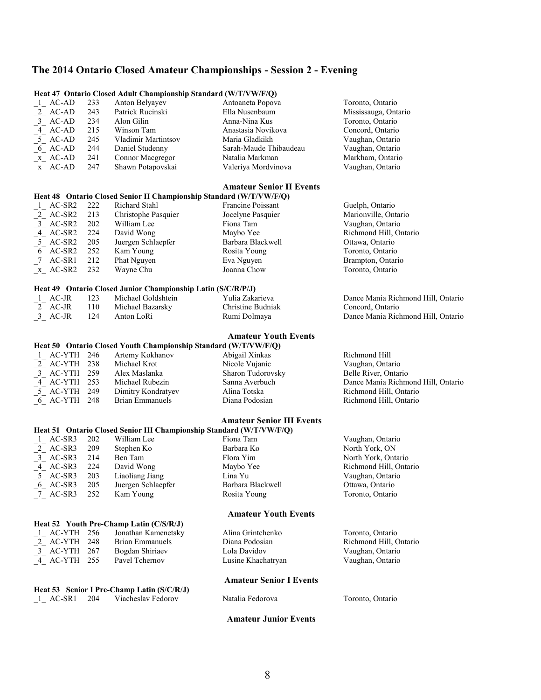### **The 2014 Ontario Closed Amateur Championships - Session 2 - Evening**

|          |     | <b>Heat 47 Ontario Closed Adult Championship Standard (W/T/VW/F/Q)</b> |                                 |                                                                         |
|----------|-----|------------------------------------------------------------------------|---------------------------------|-------------------------------------------------------------------------|
| 1 AC-AD  | 233 | Anton Belyayev                                                         | Antoaneta Popova                | Toronto, Ontario                                                        |
| 2 AC-AD  | 243 | Patrick Rucinski                                                       | Ella Nusenbaum                  | Mississauga, Ontario                                                    |
| 3 AC-AD  | 234 | Alon Gilin                                                             | Anna-Nina Kus                   | Toronto, Ontario                                                        |
| 4 AC-AD  | 215 | Winson Tam                                                             | Anastasia Novikova              | Concord, Ontario                                                        |
| 5 AC-AD  | 245 | Vladimir Martintsov                                                    | Maria Gladkikh                  | Vaughan, Ontario                                                        |
| 6 AC-AD  | 244 | Daniel Studenny                                                        | Sarah-Maude Thibaudeau          | Vaughan, Ontario                                                        |
| x AC-AD  | 241 | Connor Macgregor                                                       | Natalia Markman                 | Markham, Ontario                                                        |
| x AC-AD  | 247 | Shawn Potapovskai                                                      | Valeriya Mordvinova             | Vaughan, Ontario                                                        |
|          |     |                                                                        | <b>Amateur Senior II Events</b> |                                                                         |
|          |     | Heat 48 Ontario Closed Senior II Championship Standard (W/T/VW/F/Q)    |                                 |                                                                         |
| 1 AC-SR2 | 222 | Richard Stahl                                                          | <b>Francine Poissant</b>        | Guelph, Ontario                                                         |
| 2 AC-SR2 | 213 | Christophe Pasquier                                                    | Jocelyne Pasquier               | Marionville, Ontario                                                    |
| 3 AC-SR2 | 202 | William Lee                                                            | Fiona Tam                       | Vaughan, Ontario                                                        |
|          | 221 | $D_{\text{max}}$ of $M_{\text{max}}$                                   | $M = 1 - N - 1$                 | $\mathbf{D}$ : There is a $\mathbf{J}$ TH $\mathbf{D}$ and $\mathbf{L}$ |

\_4\_ AC-SR2 224 David Wong Maybo Yee Richmond Hill, Ontario \_5\_ AC-SR2 205 Juergen Schlaepfer Barbara Blackwell Ottawa, Ontario  $\frac{6}{7}$  AC-SR2 252 Kam Young Rosita Young Rosita Young Toronto, Ontario<br>  $\frac{7}{7}$  AC-SR1 212 Phat Nguyen Eva Nguyen Brampton, Ontario 212 Phat Nguyen Eva Nguyen Eva Nguyen Brampton, Ontario<br>232 Wayne Chu Joanna Chow Toronto, Ontario

|  |  |  | Heat 49 Ontario Closed Junior Championship Latin (S/C/R/P/J) |  |  |
|--|--|--|--------------------------------------------------------------|--|--|
|--|--|--|--------------------------------------------------------------|--|--|

**Heat 52 Youth Pre-Champ Latin (C/S/R/J)**<br>  $\frac{1}{2}$  AC-YTH 256 Jonathan Kamenetsky

**Heat 53 Senior I Pre-Champ Latin (S/C/R/J)**<br>1 AC-SR1 204 Viacheslav Fedorov

Jonathan Kamenetsky

 $x$ <sub> $K$ </sub> AC-SR2 232

| 123<br>AC-JR<br>2 AC-JR<br>110<br>3 AC-JR<br>- 124 | Michael Goldshtein<br>Michael Bazarsky<br>Anton LoRi | Yulia Zakarieva<br>Christine Budniak<br>Rumi Dolmaya | Dance Mania Richmond Hill, Ontario<br>Concord, Ontario<br>Dance Mania Richmond Hill. Ontario |
|----------------------------------------------------|------------------------------------------------------|------------------------------------------------------|----------------------------------------------------------------------------------------------|
|----------------------------------------------------|------------------------------------------------------|------------------------------------------------------|----------------------------------------------------------------------------------------------|

### **Amateur Youth Events**

|                 |  |                    | Heat 50 Ontario Closed Youth Championship Standard (W/T/VW/F/Q) |                                    |
|-----------------|--|--------------------|-----------------------------------------------------------------|------------------------------------|
| $-1$ AC-YTH 246 |  | Artemy Kokhanov    | Abigail Xinkas                                                  | Richmond Hill                      |
| 2 AC-YTH 238    |  | Michael Krot       | Nicole Vujanic                                                  | Vaughan, Ontario                   |
| 3 AC-YTH 259    |  | Alex Maslanka      | Sharon Tudorovsky                                               | Belle River, Ontario               |
| 4 AC-YTH 253    |  | Michael Rubezin    | Sanna Averbuch                                                  | Dance Mania Richmond Hill, Ontario |
| 5 AC-YTH 249    |  | Dimitry Kondratyev | Alina Totska                                                    | Richmond Hill, Ontario             |
| 6 AC-YTH 248    |  | Brian Emmanuels    | Diana Podosian                                                  | Richmond Hill, Ontario             |

### **Amateur Senior III Events**

|          |                |                    | Heat 51 Ontario Closed Senior III Championship Standard (W/T/VW/F/Q) |                        |
|----------|----------------|--------------------|----------------------------------------------------------------------|------------------------|
| 1 AC-SR3 | 202            | William Lee        | Fiona Tam                                                            | Vaughan, Ontario       |
| 2 AC-SR3 | <sup>209</sup> | Stephen Ko         | Barbara Ko                                                           | North York, ON         |
| 3 AC-SR3 | 214            | Ben Tam            | Flora Yim                                                            | North York, Ontario    |
| 4 AC-SR3 | 224            | David Wong         | Maybo Yee                                                            | Richmond Hill, Ontario |
| 5 AC-SR3 | 203            | Liaoliang Jiang    | Lina Yu                                                              | Vaughan, Ontario       |
| 6 AC-SR3 | 205            | Juergen Schlaepfer | Barbara Blackwell                                                    | Ottawa, Ontario        |
| 7 AC-SR3 | 252            | Kam Young          | Rosita Young                                                         | Toronto, Ontario       |
|          |                |                    |                                                                      |                        |

#### **Amateur Youth Events**

|              | AC-YTH 256 Jonathan Kamenetsky | Alina Grintchenko  | Toronto, Ontario       |
|--------------|--------------------------------|--------------------|------------------------|
| 2 AC-YTH 248 | Brian Emmanuels                | Diana Podosian     | Richmond Hill, Ontario |
| 3 AC-YTH 267 | Bogdan Shiriaev                | Lola Davidov       | Vaughan, Ontario       |
| 4 AC-YTH 255 | Pavel Tchernov                 | Lusine Khachatryan | Vaughan, Ontario       |

#### **Amateur Senior I Events**

\_1\_ AC-SR1 204 Viacheslav Fedorov Natalia Fedorova Toronto, Ontario

#### **Amateur Junior Events**

8